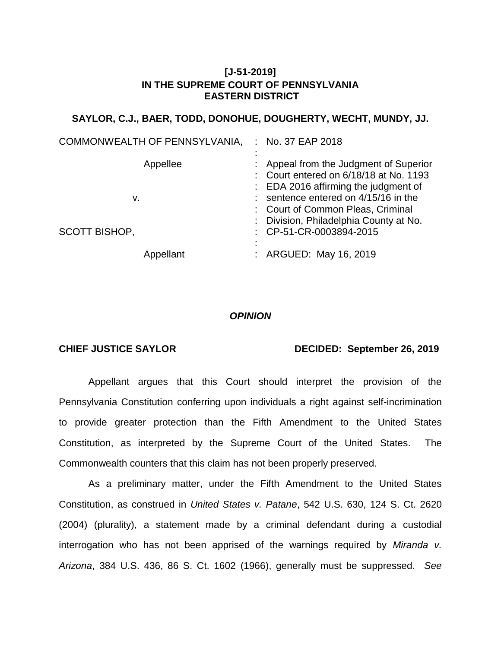# **[J-51-2019] IN THE SUPREME COURT OF PENNSYLVANIA EASTERN DISTRICT**

## **SAYLOR, C.J., BAER, TODD, DONOHUE, DOUGHERTY, WECHT, MUNDY, JJ.**

| COMMONWEALTH OF PENNSYLVANIA,          | : No. 37 EAP 2018                                                                                                                                                                                                                                                              |
|----------------------------------------|--------------------------------------------------------------------------------------------------------------------------------------------------------------------------------------------------------------------------------------------------------------------------------|
| Appellee<br>v.<br><b>SCOTT BISHOP,</b> | : Appeal from the Judgment of Superior<br>: Court entered on 6/18/18 at No. 1193<br>: EDA 2016 affirming the judgment of<br>$:$ sentence entered on $4/15/16$ in the<br>: Court of Common Pleas, Criminal<br>: Division, Philadelphia County at No.<br>: CP-51-CR-0003894-2015 |
| Appellant                              | : ARGUED: May 16, 2019                                                                                                                                                                                                                                                         |

### *OPINION*

## **CHIEF JUSTICE SAYLOR DECIDED: September 26, 2019**

Appellant argues that this Court should interpret the provision of the Pennsylvania Constitution conferring upon individuals a right against self-incrimination to provide greater protection than the Fifth Amendment to the United States Constitution, as interpreted by the Supreme Court of the United States. The Commonwealth counters that this claim has not been properly preserved.

As a preliminary matter, under the Fifth Amendment to the United States Constitution, as construed in *United States v. Patane*, 542 U.S. 630, 124 S. Ct. 2620 (2004) (plurality), a statement made by a criminal defendant during a custodial interrogation who has not been apprised of the warnings required by *Miranda v. Arizona*, 384 U.S. 436, 86 S. Ct. 1602 (1966), generally must be suppressed. *See*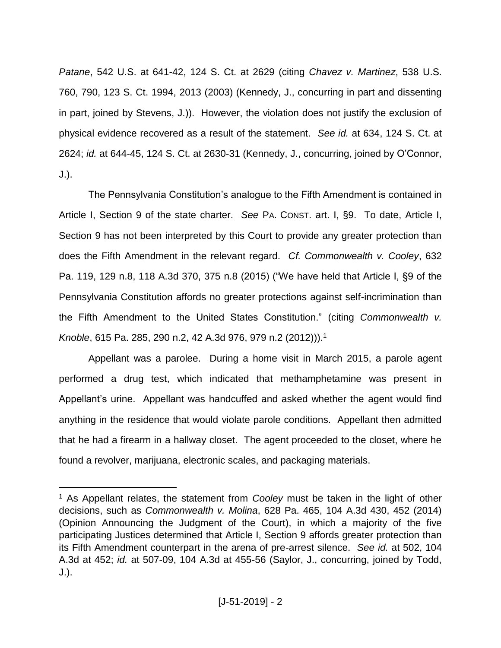*Patane*, 542 U.S. at 641-42, 124 S. Ct. at 2629 (citing *Chavez v. Martinez*, 538 U.S. 760, 790, 123 S. Ct. 1994, 2013 (2003) (Kennedy, J., concurring in part and dissenting in part, joined by Stevens, J.)). However, the violation does not justify the exclusion of physical evidence recovered as a result of the statement. *See id.* at 634, 124 S. Ct. at 2624; *id.* at 644-45, 124 S. Ct. at 2630-31 (Kennedy, J., concurring, joined by O'Connor, J.).

The Pennsylvania Constitution's analogue to the Fifth Amendment is contained in Article I, Section 9 of the state charter. *See* PA. CONST. art. I, §9. To date, Article I, Section 9 has not been interpreted by this Court to provide any greater protection than does the Fifth Amendment in the relevant regard. *Cf. Commonwealth v. Cooley*, 632 Pa. 119, 129 n.8, 118 A.3d 370, 375 n.8 (2015) ("We have held that Article I, §9 of the Pennsylvania Constitution affords no greater protections against self-incrimination than the Fifth Amendment to the United States Constitution." (citing *Commonwealth v. Knoble*, 615 Pa. 285, 290 n.2, 42 A.3d 976, 979 n.2 (2012))). 1

Appellant was a parolee. During a home visit in March 2015, a parole agent performed a drug test, which indicated that methamphetamine was present in Appellant's urine. Appellant was handcuffed and asked whether the agent would find anything in the residence that would violate parole conditions. Appellant then admitted that he had a firearm in a hallway closet. The agent proceeded to the closet, where he found a revolver, marijuana, electronic scales, and packaging materials.

<sup>1</sup> As Appellant relates, the statement from *Cooley* must be taken in the light of other decisions, such as *Commonwealth v. Molina*, 628 Pa. 465, 104 A.3d 430, 452 (2014) (Opinion Announcing the Judgment of the Court), in which a majority of the five participating Justices determined that Article I, Section 9 affords greater protection than its Fifth Amendment counterpart in the arena of pre-arrest silence. *See id.* at 502, 104 A.3d at 452; *id.* at 507-09, 104 A.3d at 455-56 (Saylor, J., concurring, joined by Todd, J.).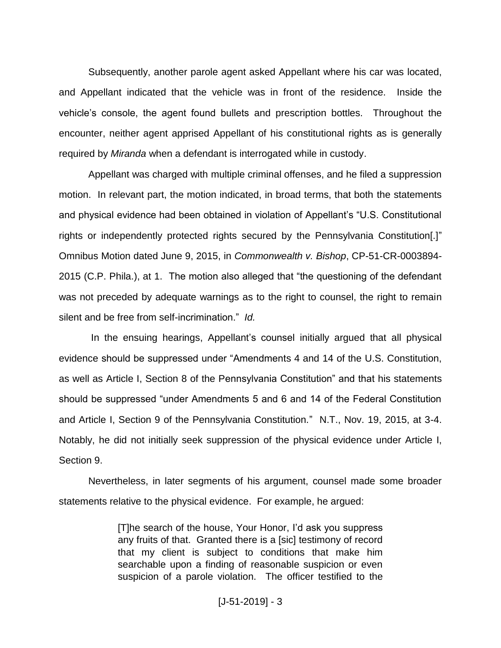Subsequently, another parole agent asked Appellant where his car was located, and Appellant indicated that the vehicle was in front of the residence. Inside the vehicle's console, the agent found bullets and prescription bottles. Throughout the encounter, neither agent apprised Appellant of his constitutional rights as is generally required by *Miranda* when a defendant is interrogated while in custody.

Appellant was charged with multiple criminal offenses, and he filed a suppression motion. In relevant part, the motion indicated, in broad terms, that both the statements and physical evidence had been obtained in violation of Appellant's "U.S. Constitutional rights or independently protected rights secured by the Pennsylvania Constitution[.]" Omnibus Motion dated June 9, 2015, in *Commonwealth v. Bishop*, CP-51-CR-0003894- 2015 (C.P. Phila.), at 1. The motion also alleged that "the questioning of the defendant was not preceded by adequate warnings as to the right to counsel, the right to remain silent and be free from self-incrimination." *Id.*

In the ensuing hearings, Appellant's counsel initially argued that all physical evidence should be suppressed under "Amendments 4 and 14 of the U.S. Constitution, as well as Article I, Section 8 of the Pennsylvania Constitution" and that his statements should be suppressed "under Amendments 5 and 6 and 14 of the Federal Constitution and Article I, Section 9 of the Pennsylvania Constitution." N.T., Nov. 19, 2015, at 3-4. Notably, he did not initially seek suppression of the physical evidence under Article I, Section 9.

Nevertheless, in later segments of his argument, counsel made some broader statements relative to the physical evidence. For example, he argued:

> [T]he search of the house, Your Honor, I'd ask you suppress any fruits of that. Granted there is a [sic] testimony of record that my client is subject to conditions that make him searchable upon a finding of reasonable suspicion or even suspicion of a parole violation. The officer testified to the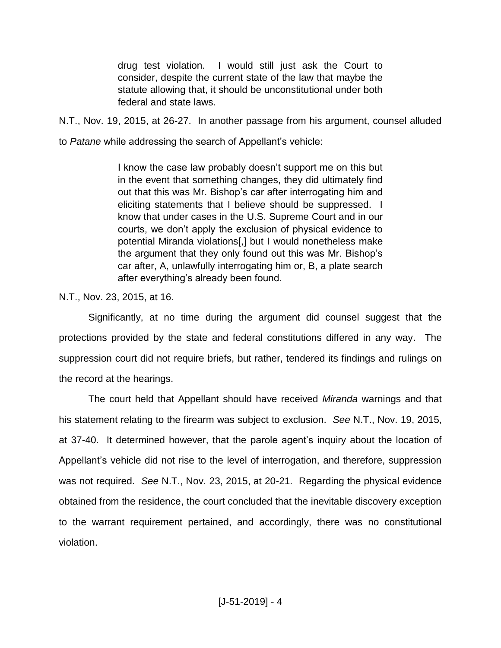drug test violation. I would still just ask the Court to consider, despite the current state of the law that maybe the statute allowing that, it should be unconstitutional under both federal and state laws.

N.T., Nov. 19, 2015, at 26-27. In another passage from his argument, counsel alluded

to *Patane* while addressing the search of Appellant's vehicle:

I know the case law probably doesn't support me on this but in the event that something changes, they did ultimately find out that this was Mr. Bishop's car after interrogating him and eliciting statements that I believe should be suppressed. I know that under cases in the U.S. Supreme Court and in our courts, we don't apply the exclusion of physical evidence to potential Miranda violations[,] but I would nonetheless make the argument that they only found out this was Mr. Bishop's car after, A, unlawfully interrogating him or, B, a plate search after everything's already been found.

N.T., Nov. 23, 2015, at 16.

Significantly, at no time during the argument did counsel suggest that the protections provided by the state and federal constitutions differed in any way. The suppression court did not require briefs, but rather, tendered its findings and rulings on the record at the hearings.

The court held that Appellant should have received *Miranda* warnings and that his statement relating to the firearm was subject to exclusion. *See* N.T., Nov. 19, 2015, at 37-40. It determined however, that the parole agent's inquiry about the location of Appellant's vehicle did not rise to the level of interrogation, and therefore, suppression was not required. *See* N.T., Nov. 23, 2015, at 20-21. Regarding the physical evidence obtained from the residence, the court concluded that the inevitable discovery exception to the warrant requirement pertained, and accordingly, there was no constitutional violation.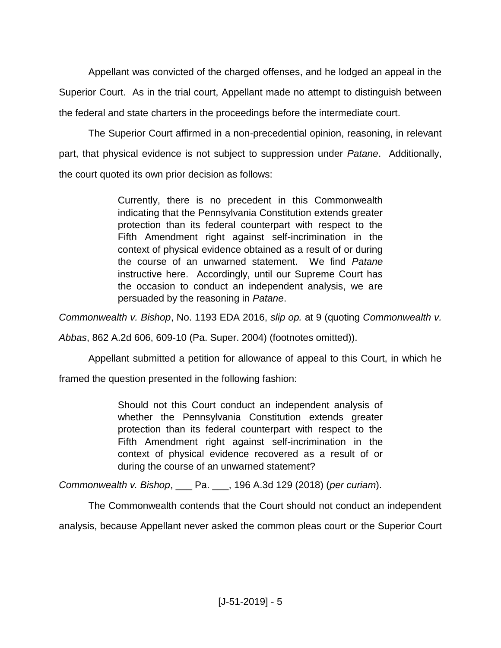Appellant was convicted of the charged offenses, and he lodged an appeal in the Superior Court. As in the trial court, Appellant made no attempt to distinguish between the federal and state charters in the proceedings before the intermediate court.

The Superior Court affirmed in a non-precedential opinion, reasoning, in relevant part, that physical evidence is not subject to suppression under *Patane*. Additionally, the court quoted its own prior decision as follows:

> Currently, there is no precedent in this Commonwealth indicating that the Pennsylvania Constitution extends greater protection than its federal counterpart with respect to the Fifth Amendment right against self-incrimination in the context of physical evidence obtained as a result of or during the course of an unwarned statement. We find *Patane* instructive here. Accordingly, until our Supreme Court has the occasion to conduct an independent analysis, we are persuaded by the reasoning in *Patane*.

*Commonwealth v. Bishop*, No. 1193 EDA 2016, *slip op.* at 9 (quoting *Commonwealth v.* 

*Abbas*, 862 A.2d 606, 609-10 (Pa. Super. 2004) (footnotes omitted)).

Appellant submitted a petition for allowance of appeal to this Court, in which he

framed the question presented in the following fashion:

Should not this Court conduct an independent analysis of whether the Pennsylvania Constitution extends greater protection than its federal counterpart with respect to the Fifth Amendment right against self-incrimination in the context of physical evidence recovered as a result of or during the course of an unwarned statement?

*Commonwealth v. Bishop*, \_\_\_ Pa. \_\_\_, 196 A.3d 129 (2018) (*per curiam*).

The Commonwealth contends that the Court should not conduct an independent

analysis, because Appellant never asked the common pleas court or the Superior Court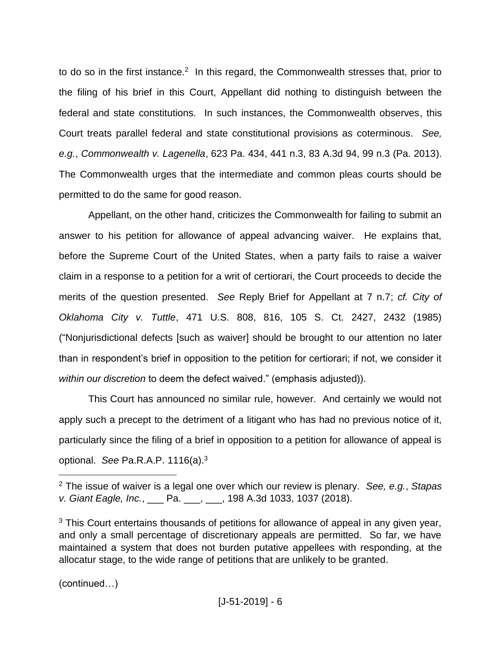to do so in the first instance.<sup>2</sup> In this regard, the Commonwealth stresses that, prior to the filing of his brief in this Court, Appellant did nothing to distinguish between the federal and state constitutions. In such instances, the Commonwealth observes, this Court treats parallel federal and state constitutional provisions as coterminous. *See, e.g.*, *Commonwealth v. Lagenella*, 623 Pa. 434, 441 n.3, 83 A.3d 94, 99 n.3 (Pa. 2013). The Commonwealth urges that the intermediate and common pleas courts should be permitted to do the same for good reason.

Appellant, on the other hand, criticizes the Commonwealth for failing to submit an answer to his petition for allowance of appeal advancing waiver. He explains that, before the Supreme Court of the United States, when a party fails to raise a waiver claim in a response to a petition for a writ of certiorari, the Court proceeds to decide the merits of the question presented. *See* Reply Brief for Appellant at 7 n.7; *cf. City of Oklahoma City v. Tuttle*, 471 U.S. 808, 816, 105 S. Ct. 2427, 2432 (1985) ("Nonjurisdictional defects [such as waiver] should be brought to our attention no later than in respondent's brief in opposition to the petition for certiorari; if not, we consider it *within our discretion* to deem the defect waived." (emphasis adjusted)).

This Court has announced no similar rule, however. And certainly we would not apply such a precept to the detriment of a litigant who has had no previous notice of it, particularly since the filing of a brief in opposition to a petition for allowance of appeal is optional. *See* Pa.R.A.P. 1116(a). 3

(continued…)

<sup>2</sup> The issue of waiver is a legal one over which our review is plenary. *See, e.g.*, *Stapas v. Giant Eagle, Inc.*, \_\_\_ Pa. \_\_\_, \_\_\_, 198 A.3d 1033, 1037 (2018).

<sup>&</sup>lt;sup>3</sup> This Court entertains thousands of petitions for allowance of appeal in any given year, and only a small percentage of discretionary appeals are permitted. So far, we have maintained a system that does not burden putative appellees with responding, at the allocatur stage, to the wide range of petitions that are unlikely to be granted.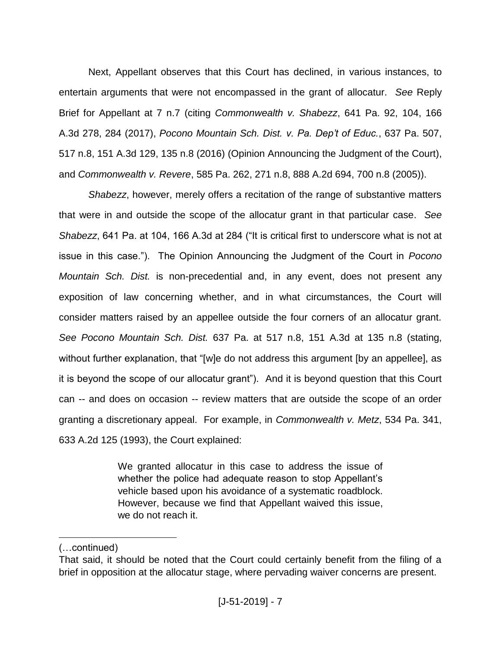Next, Appellant observes that this Court has declined, in various instances, to entertain arguments that were not encompassed in the grant of allocatur. *See* Reply Brief for Appellant at 7 n.7 (citing *Commonwealth v. Shabezz*, 641 Pa. 92, 104, 166 A.3d 278, 284 (2017), *Pocono Mountain Sch. Dist. v. Pa. Dep't of Educ.*, 637 Pa. 507, 517 n.8, 151 A.3d 129, 135 n.8 (2016) (Opinion Announcing the Judgment of the Court), and *Commonwealth v. Revere*, 585 Pa. 262, 271 n.8, 888 A.2d 694, 700 n.8 (2005)).

*Shabezz*, however, merely offers a recitation of the range of substantive matters that were in and outside the scope of the allocatur grant in that particular case. *See Shabezz*, 641 Pa. at 104, 166 A.3d at 284 ("It is critical first to underscore what is not at issue in this case."). The Opinion Announcing the Judgment of the Court in *Pocono Mountain Sch. Dist.* is non-precedential and, in any event, does not present any exposition of law concerning whether, and in what circumstances, the Court will consider matters raised by an appellee outside the four corners of an allocatur grant. *See Pocono Mountain Sch. Dist.* 637 Pa. at 517 n.8, 151 A.3d at 135 n.8 (stating, without further explanation, that "[w]e do not address this argument [by an appellee], as it is beyond the scope of our allocatur grant"). And it is beyond question that this Court can -- and does on occasion -- review matters that are outside the scope of an order granting a discretionary appeal. For example, in *Commonwealth v. Metz*, 534 Pa. 341, 633 A.2d 125 (1993), the Court explained:

> We granted allocatur in this case to address the issue of whether the police had adequate reason to stop Appellant's vehicle based upon his avoidance of a systematic roadblock. However, because we find that Appellant waived this issue, we do not reach it.

<sup>(…</sup>continued)

That said, it should be noted that the Court could certainly benefit from the filing of a brief in opposition at the allocatur stage, where pervading waiver concerns are present.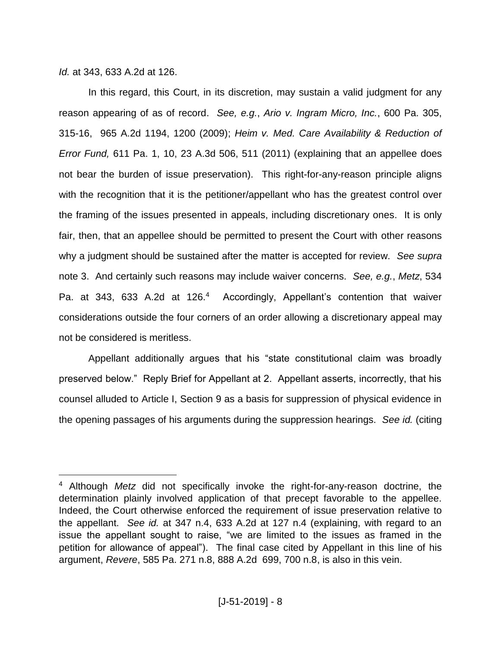## *Id.* at 343, 633 A.2d at 126.

 $\overline{a}$ 

In this regard, this Court, in its discretion, may sustain a valid judgment for any reason appearing of as of record. *See, e.g.*, *Ario v. Ingram Micro, Inc.*, 600 Pa. 305, 315-16, 965 A.2d 1194, 1200 (2009); *Heim v. Med. Care Availability & Reduction of Error Fund,* 611 Pa. 1, 10, 23 A.3d 506, 511 (2011) (explaining that an appellee does not bear the burden of issue preservation). This right-for-any-reason principle aligns with the recognition that it is the petitioner/appellant who has the greatest control over the framing of the issues presented in appeals, including discretionary ones. It is only fair, then, that an appellee should be permitted to present the Court with other reasons why a judgment should be sustained after the matter is accepted for review. *See supra* note 3. And certainly such reasons may include waiver concerns. *See, e.g.*, *Metz*, 534 Pa. at 343, 633 A.2d at 126.<sup>4</sup> Accordingly, Appellant's contention that waiver considerations outside the four corners of an order allowing a discretionary appeal may not be considered is meritless.

Appellant additionally argues that his "state constitutional claim was broadly preserved below." Reply Brief for Appellant at 2. Appellant asserts, incorrectly, that his counsel alluded to Article I, Section 9 as a basis for suppression of physical evidence in the opening passages of his arguments during the suppression hearings. *See id.* (citing

<sup>4</sup> Although *Metz* did not specifically invoke the right-for-any-reason doctrine, the determination plainly involved application of that precept favorable to the appellee. Indeed, the Court otherwise enforced the requirement of issue preservation relative to the appellant. *See id.* at 347 n.4, 633 A.2d at 127 n.4 (explaining, with regard to an issue the appellant sought to raise, "we are limited to the issues as framed in the petition for allowance of appeal"). The final case cited by Appellant in this line of his argument, *Revere*, 585 Pa. 271 n.8, 888 A.2d 699, 700 n.8, is also in this vein.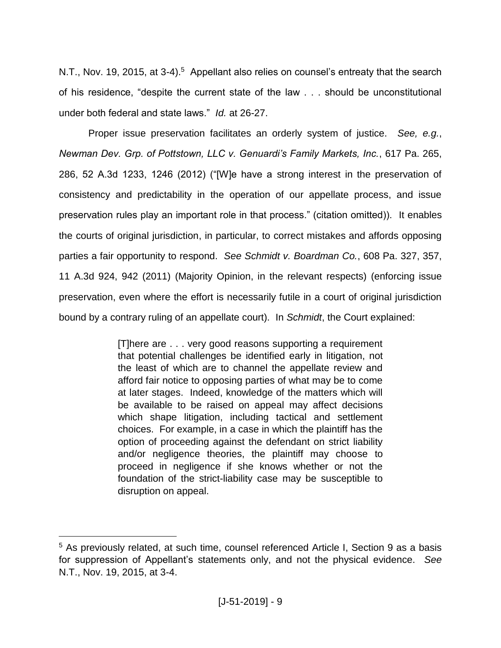N.T., Nov. 19, 2015, at 3-4).<sup>5</sup> Appellant also relies on counsel's entreaty that the search of his residence, "despite the current state of the law . . . should be unconstitutional under both federal and state laws." *Id.* at 26-27.

Proper issue preservation facilitates an orderly system of justice. *See, e.g.*, *Newman Dev. Grp. of Pottstown, LLC v. Genuardi's Family Markets, Inc.*, 617 Pa. 265, 286, 52 A.3d 1233, 1246 (2012) ("[W]e have a strong interest in the preservation of consistency and predictability in the operation of our appellate process, and issue preservation rules play an important role in that process." (citation omitted)). It enables the courts of original jurisdiction, in particular, to correct mistakes and affords opposing parties a fair opportunity to respond. *See Schmidt v. Boardman Co.*, 608 Pa. 327, 357, 11 A.3d 924, 942 (2011) (Majority Opinion, in the relevant respects) (enforcing issue preservation, even where the effort is necessarily futile in a court of original jurisdiction bound by a contrary ruling of an appellate court). In *Schmidt*, the Court explained:

> [T]here are . . . very good reasons supporting a requirement that potential challenges be identified early in litigation, not the least of which are to channel the appellate review and afford fair notice to opposing parties of what may be to come at later stages. Indeed, knowledge of the matters which will be available to be raised on appeal may affect decisions which shape litigation, including tactical and settlement choices. For example, in a case in which the plaintiff has the option of proceeding against the defendant on strict liability and/or negligence theories, the plaintiff may choose to proceed in negligence if she knows whether or not the foundation of the strict-liability case may be susceptible to disruption on appeal.

<sup>5</sup> As previously related, at such time, counsel referenced Article I, Section 9 as a basis for suppression of Appellant's statements only, and not the physical evidence. *See* N.T., Nov. 19, 2015, at 3-4.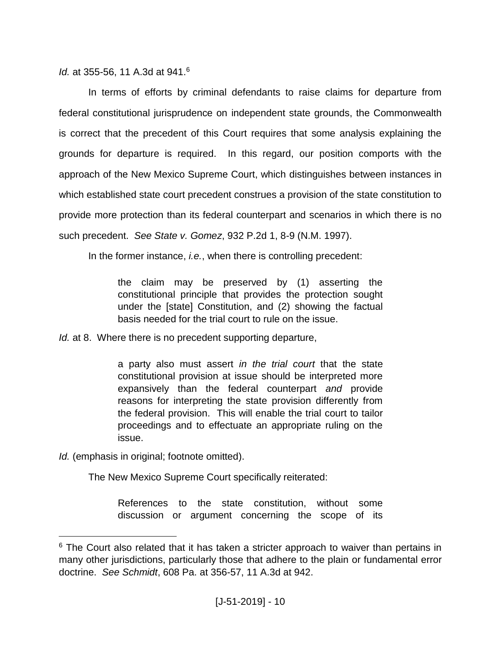*Id.* at 355-56, 11 A.3d at 941.<sup>6</sup>

In terms of efforts by criminal defendants to raise claims for departure from federal constitutional jurisprudence on independent state grounds, the Commonwealth is correct that the precedent of this Court requires that some analysis explaining the grounds for departure is required. In this regard, our position comports with the approach of the New Mexico Supreme Court, which distinguishes between instances in which established state court precedent construes a provision of the state constitution to provide more protection than its federal counterpart and scenarios in which there is no such precedent. *See State v. Gomez*, 932 P.2d 1, 8-9 (N.M. 1997).

In the former instance, *i.e.*, when there is controlling precedent:

the claim may be preserved by (1) asserting the constitutional principle that provides the protection sought under the [state] Constitution, and (2) showing the factual basis needed for the trial court to rule on the issue.

*Id.* at 8. Where there is no precedent supporting departure,

a party also must assert *in the trial court* that the state constitutional provision at issue should be interpreted more expansively than the federal counterpart *and* provide reasons for interpreting the state provision differently from the federal provision. This will enable the trial court to tailor proceedings and to effectuate an appropriate ruling on the issue.

*Id.* (emphasis in original; footnote omitted).

 $\overline{a}$ 

The New Mexico Supreme Court specifically reiterated:

References to the state constitution, without some discussion or argument concerning the scope of its

<sup>&</sup>lt;sup>6</sup> The Court also related that it has taken a stricter approach to waiver than pertains in many other jurisdictions, particularly those that adhere to the plain or fundamental error doctrine. *See Schmidt*, 608 Pa. at 356-57, 11 A.3d at 942.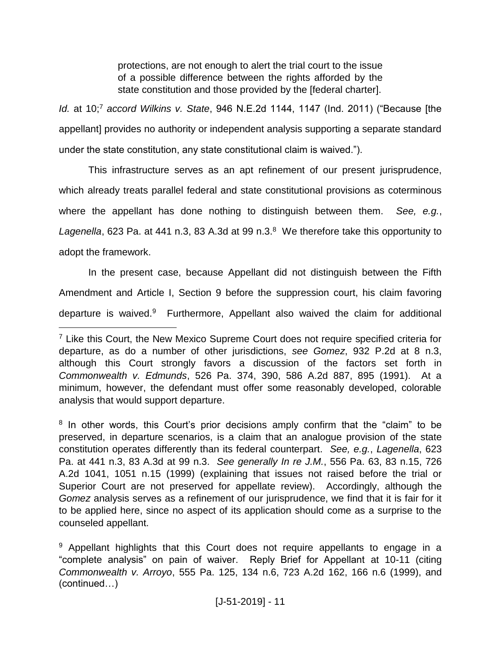protections, are not enough to alert the trial court to the issue of a possible difference between the rights afforded by the state constitution and those provided by the [federal charter].

*Id.* at 10;<sup>7</sup> *accord Wilkins v. State*, 946 N.E.2d 1144, 1147 (Ind. 2011) ("Because [the appellant] provides no authority or independent analysis supporting a separate standard under the state constitution, any state constitutional claim is waived.").

This infrastructure serves as an apt refinement of our present jurisprudence, which already treats parallel federal and state constitutional provisions as coterminous where the appellant has done nothing to distinguish between them. *See, e.g.*, Lagenella, 623 Pa. at 441 n.3, 83 A.3d at 99 n.3.<sup>8</sup> We therefore take this opportunity to adopt the framework.

In the present case, because Appellant did not distinguish between the Fifth Amendment and Article I, Section 9 before the suppression court, his claim favoring departure is waived.<sup>9</sup> Furthermore, Appellant also waived the claim for additional

<sup>&</sup>lt;sup>7</sup> Like this Court, the New Mexico Supreme Court does not require specified criteria for departure, as do a number of other jurisdictions, *see Gomez*, 932 P.2d at 8 n.3, although this Court strongly favors a discussion of the factors set forth in *Commonwealth v. Edmunds*, 526 Pa. 374, 390, 586 A.2d 887, 895 (1991). At a minimum, however, the defendant must offer some reasonably developed, colorable analysis that would support departure.

<sup>&</sup>lt;sup>8</sup> In other words, this Court's prior decisions amply confirm that the "claim" to be preserved, in departure scenarios, is a claim that an analogue provision of the state constitution operates differently than its federal counterpart. *See, e.g.*, *Lagenella*, 623 Pa. at 441 n.3, 83 A.3d at 99 n.3. *See generally In re J.M.*, 556 Pa. 63, 83 n.15, 726 A.2d 1041, 1051 n.15 (1999) (explaining that issues not raised before the trial or Superior Court are not preserved for appellate review). Accordingly, although the *Gomez* analysis serves as a refinement of our jurisprudence, we find that it is fair for it to be applied here, since no aspect of its application should come as a surprise to the counseled appellant.

<sup>&</sup>lt;sup>9</sup> Appellant highlights that this Court does not require appellants to engage in a "complete analysis" on pain of waiver. Reply Brief for Appellant at 10-11 (citing *Commonwealth v. Arroyo*, 555 Pa. 125, 134 n.6, 723 A.2d 162, 166 n.6 (1999), and (continued…)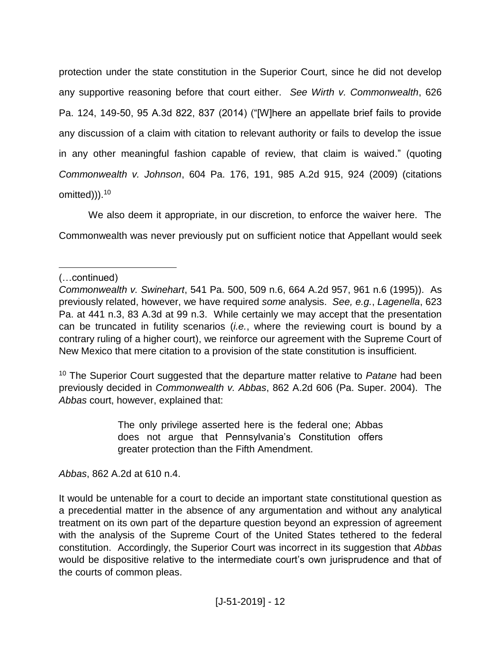protection under the state constitution in the Superior Court, since he did not develop any supportive reasoning before that court either. *See Wirth v. Commonwealth*, 626 Pa. 124, 149-50, 95 A.3d 822, 837 (2014) ("[W]here an appellate brief fails to provide any discussion of a claim with citation to relevant authority or fails to develop the issue in any other meaningful fashion capable of review, that claim is waived." (quoting *Commonwealth v. Johnson*, 604 Pa. 176, 191, 985 A.2d 915, 924 (2009) (citations omitted))).<sup>10</sup>

We also deem it appropriate, in our discretion, to enforce the waiver here. The Commonwealth was never previously put on sufficient notice that Appellant would seek

(…continued)

 $\overline{a}$ 

<sup>10</sup> The Superior Court suggested that the departure matter relative to *Patane* had been previously decided in *Commonwealth v. Abbas*, 862 A.2d 606 (Pa. Super. 2004). The *Abbas* court, however, explained that:

> The only privilege asserted here is the federal one; Abbas does not argue that Pennsylvania's Constitution offers greater protection than the Fifth Amendment.

*Abbas*, 862 A.2d at 610 n.4.

It would be untenable for a court to decide an important state constitutional question as a precedential matter in the absence of any argumentation and without any analytical treatment on its own part of the departure question beyond an expression of agreement with the analysis of the Supreme Court of the United States tethered to the federal constitution. Accordingly, the Superior Court was incorrect in its suggestion that *Abbas* would be dispositive relative to the intermediate court's own jurisprudence and that of the courts of common pleas.

*Commonwealth v. Swinehart*, 541 Pa. 500, 509 n.6, 664 A.2d 957, 961 n.6 (1995)). As previously related, however, we have required *some* analysis. *See, e.g.*, *Lagenella*, 623 Pa. at 441 n.3, 83 A.3d at 99 n.3. While certainly we may accept that the presentation can be truncated in futility scenarios (*i.e.*, where the reviewing court is bound by a contrary ruling of a higher court), we reinforce our agreement with the Supreme Court of New Mexico that mere citation to a provision of the state constitution is insufficient.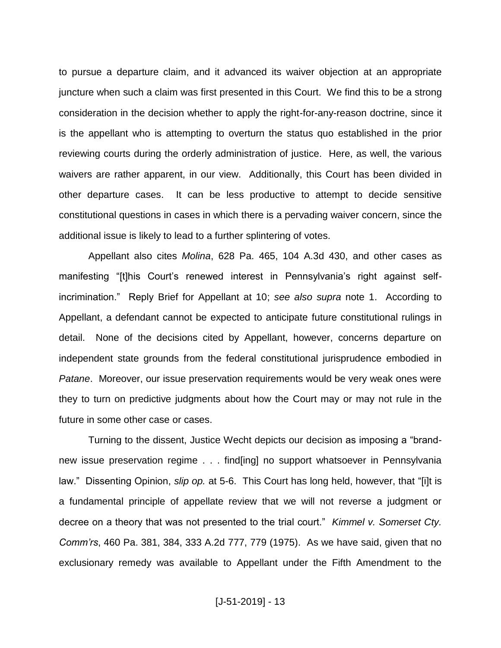to pursue a departure claim, and it advanced its waiver objection at an appropriate juncture when such a claim was first presented in this Court. We find this to be a strong consideration in the decision whether to apply the right-for-any-reason doctrine, since it is the appellant who is attempting to overturn the status quo established in the prior reviewing courts during the orderly administration of justice. Here, as well, the various waivers are rather apparent, in our view. Additionally, this Court has been divided in other departure cases. It can be less productive to attempt to decide sensitive constitutional questions in cases in which there is a pervading waiver concern, since the additional issue is likely to lead to a further splintering of votes.

Appellant also cites *Molina*, 628 Pa. 465, 104 A.3d 430, and other cases as manifesting "[t]his Court's renewed interest in Pennsylvania's right against selfincrimination." Reply Brief for Appellant at 10; *see also supra* note 1. According to Appellant, a defendant cannot be expected to anticipate future constitutional rulings in detail. None of the decisions cited by Appellant, however, concerns departure on independent state grounds from the federal constitutional jurisprudence embodied in *Patane*. Moreover, our issue preservation requirements would be very weak ones were they to turn on predictive judgments about how the Court may or may not rule in the future in some other case or cases.

Turning to the dissent, Justice Wecht depicts our decision as imposing a "brandnew issue preservation regime . . . find[ing] no support whatsoever in Pennsylvania law." Dissenting Opinion, *slip op.* at 5-6. This Court has long held, however, that "[i]t is a fundamental principle of appellate review that we will not reverse a judgment or decree on a theory that was not presented to the trial court." *Kimmel v. Somerset Cty. Comm'rs*, 460 Pa. 381, 384, 333 A.2d 777, 779 (1975). As we have said, given that no exclusionary remedy was available to Appellant under the Fifth Amendment to the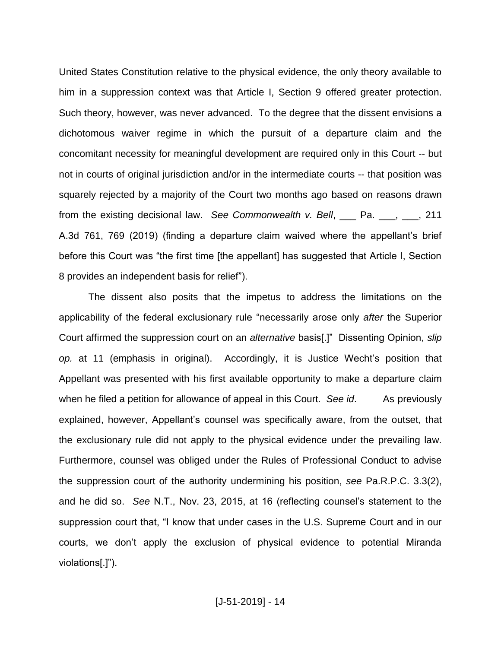United States Constitution relative to the physical evidence, the only theory available to him in a suppression context was that Article I, Section 9 offered greater protection. Such theory, however, was never advanced. To the degree that the dissent envisions a dichotomous waiver regime in which the pursuit of a departure claim and the concomitant necessity for meaningful development are required only in this Court -- but not in courts of original jurisdiction and/or in the intermediate courts -- that position was squarely rejected by a majority of the Court two months ago based on reasons drawn from the existing decisional law. *See Commonwealth v. Bell*, \_\_\_ Pa. \_\_\_, \_\_\_, 211 A.3d 761, 769 (2019) (finding a departure claim waived where the appellant's brief before this Court was "the first time [the appellant] has suggested that Article I, Section 8 provides an independent basis for relief").

The dissent also posits that the impetus to address the limitations on the applicability of the federal exclusionary rule "necessarily arose only *after* the Superior Court affirmed the suppression court on an *alternative* basis[.]" Dissenting Opinion, *slip op.* at 11 (emphasis in original). Accordingly, it is Justice Wecht's position that Appellant was presented with his first available opportunity to make a departure claim when he filed a petition for allowance of appeal in this Court. *See id*. As previously explained, however, Appellant's counsel was specifically aware, from the outset, that the exclusionary rule did not apply to the physical evidence under the prevailing law. Furthermore, counsel was obliged under the Rules of Professional Conduct to advise the suppression court of the authority undermining his position, *see* Pa.R.P.C. 3.3(2), and he did so. *See* N.T., Nov. 23, 2015, at 16 (reflecting counsel's statement to the suppression court that, "I know that under cases in the U.S. Supreme Court and in our courts, we don't apply the exclusion of physical evidence to potential Miranda violations[.]").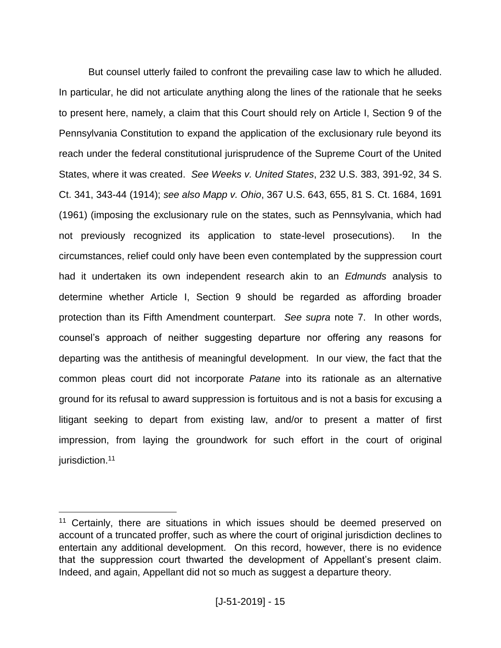But counsel utterly failed to confront the prevailing case law to which he alluded. In particular, he did not articulate anything along the lines of the rationale that he seeks to present here, namely, a claim that this Court should rely on Article I, Section 9 of the Pennsylvania Constitution to expand the application of the exclusionary rule beyond its reach under the federal constitutional jurisprudence of the Supreme Court of the United States, where it was created. *See Weeks v. United States*, 232 U.S. 383, 391-92, 34 S. Ct. 341, 343-44 (1914); *see also Mapp v. Ohio*, 367 U.S. 643, 655, 81 S. Ct. 1684, 1691 (1961) (imposing the exclusionary rule on the states, such as Pennsylvania, which had not previously recognized its application to state-level prosecutions). In the circumstances, relief could only have been even contemplated by the suppression court had it undertaken its own independent research akin to an *Edmunds* analysis to determine whether Article I, Section 9 should be regarded as affording broader protection than its Fifth Amendment counterpart. *See supra* note 7. In other words, counsel's approach of neither suggesting departure nor offering any reasons for departing was the antithesis of meaningful development. In our view, the fact that the common pleas court did not incorporate *Patane* into its rationale as an alternative ground for its refusal to award suppression is fortuitous and is not a basis for excusing a litigant seeking to depart from existing law, and/or to present a matter of first impression, from laying the groundwork for such effort in the court of original jurisdiction.<sup>11</sup>

<sup>&</sup>lt;sup>11</sup> Certainly, there are situations in which issues should be deemed preserved on account of a truncated proffer, such as where the court of original jurisdiction declines to entertain any additional development. On this record, however, there is no evidence that the suppression court thwarted the development of Appellant's present claim. Indeed, and again, Appellant did not so much as suggest a departure theory.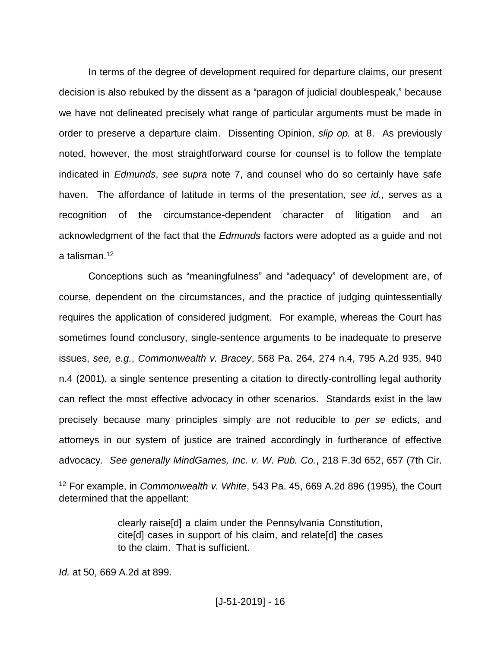In terms of the degree of development required for departure claims, our present decision is also rebuked by the dissent as a "paragon of judicial doublespeak," because we have not delineated precisely what range of particular arguments must be made in order to preserve a departure claim. Dissenting Opinion, *slip op.* at 8. As previously noted, however, the most straightforward course for counsel is to follow the template indicated in *Edmunds*, *see supra* note 7, and counsel who do so certainly have safe haven. The affordance of latitude in terms of the presentation, *see id.*, serves as a recognition of the circumstance-dependent character of litigation and an acknowledgment of the fact that the *Edmunds* factors were adopted as a guide and not a talisman.<sup>12</sup>

Conceptions such as "meaningfulness" and "adequacy" of development are, of course, dependent on the circumstances, and the practice of judging quintessentially requires the application of considered judgment. For example, whereas the Court has sometimes found conclusory, single-sentence arguments to be inadequate to preserve issues, *see, e.g.*, *Commonwealth v. Bracey*, 568 Pa. 264, 274 n.4, 795 A.2d 935, 940 n.4 (2001), a single sentence presenting a citation to directly-controlling legal authority can reflect the most effective advocacy in other scenarios. Standards exist in the law precisely because many principles simply are not reducible to *per se* edicts, and attorneys in our system of justice are trained accordingly in furtherance of effective advocacy. *See generally MindGames, Inc. v. W. Pub. Co.*, 218 F.3d 652, 657 (7th Cir.

clearly raise[d] a claim under the Pennsylvania Constitution, cite[d] cases in support of his claim, and relate[d] the cases to the claim. That is sufficient.

*Id.* at 50, 669 A.2d at 899.

<sup>12</sup> For example, in *Commonwealth v. White*, 543 Pa. 45, 669 A.2d 896 (1995), the Court determined that the appellant: